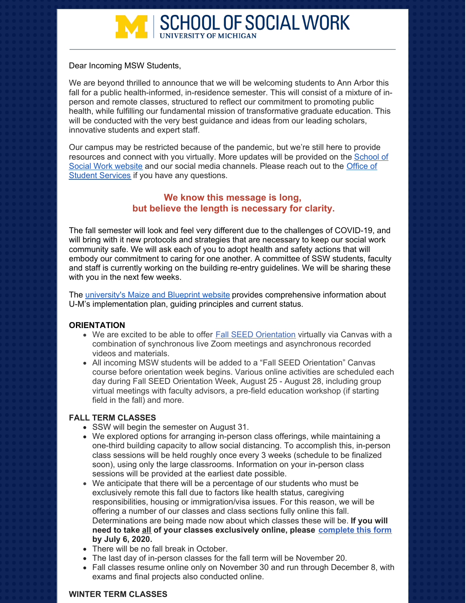

Dear Incoming MSW Students,

We are beyond thrilled to announce that we will be welcoming students to Ann Arbor this fall for a public health-informed, in-residence semester. This will consist of a mixture of inperson and remote classes, structured to reflect our commitment to promoting public health, while fulfilling our fundamental mission of transformative graduate education. This will be conducted with the very best guidance and ideas from our leading scholars, innovative students and expert staff.

Our campus may be restricted because of the pandemic, but we're still here to provide [resources](https://ssw.umich.edu/) and connect with you virtually. More updates will be provided on the School of Social Work website and our social media [channels.](mailto:ssw.msw.info@umich.edu) Please reach out to the Office of **Student Services if you have any questions.** 

# **We know this message is long, but believe the length is necessary for clarity.**

The fall semester will look and feel very different due to the challenges of COVID-19, and will bring with it new protocols and strategies that are necessary to keep our social work community safe. We will ask each of you to adopt health and safety actions that will embody our commitment to caring for one another. A committee of SSW students, faculty and staff is currently working on the building re-entry guidelines. We will be sharing these with you in the next few weeks.

The [university's](https://campusblueprint.umich.edu/) Maize and Blueprint website provides comprehensive information about U-M's implementation plan, guiding principles and current status.

#### **ORIENTATION**

- We are excited to be able to offer **Fall SEED [Orientation](https://ssw.umich.edu/events/list/2020/08/25/60560-fall-2020-seed-orientation)** virtually via Canvas with a combination of synchronous live Zoom meetings and asynchronous recorded videos and materials.
- All incoming MSW students will be added to a "Fall SEED Orientation" Canvas course before orientation week begins. Various online activities are scheduled each day during Fall SEED Orientation Week, August 25 - August 28, including group virtual meetings with faculty advisors, a pre-field education workshop (if starting field in the fall) and more.

### **FALL TERM CLASSES**

- SSW will begin the semester on August 31.
- We explored options for arranging in-person class offerings, while maintaining a one-third building capacity to allow social distancing. To accomplish this, in-person class sessions will be held roughly once every 3 weeks (schedule to be finalized soon), using only the large classrooms. Information on your in-person class sessions will be provided at the earliest date possible.
- We anticipate that there will be a percentage of our students who must be exclusively remote this fall due to factors like health status, caregiving responsibilities, housing or immigration/visa issues. For this reason, we will be offering a number of our classes and class sections fully online this fall. Determinations are being made now about which classes these will be. **If you will need to take all of your classes exclusively online, please [complete](https://docs.google.com/forms/d/e/1FAIpQLSfSF0jY2-jTXBFARqhcEEAToQFT-PKVhgMC2S6elaXAXr9M-w/viewform) this form by July 6, 2020.**
- There will be no fall break in October.
- The last day of in-person classes for the fall term will be November 20.
- Fall classes resume online only on November 30 and run through December 8, with exams and final projects also conducted online.

#### **WINTER TERM CLASSES**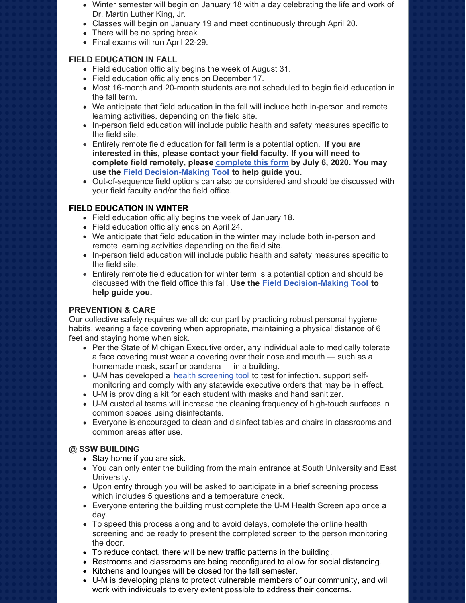- Winter semester will begin on January 18 with a day celebrating the life and work of Dr. Martin Luther King, Jr.
- Classes will begin on January 19 and meet continuously through April 20.
- There will be no spring break.
- Final exams will run April 22-29.

### **FIELD EDUCATION IN FALL**

- Field education officially begins the week of August 31.
- Field education officially ends on December 17.
- Most 16-month and 20-month students are not scheduled to begin field education in the fall term.
- We anticipate that field education in the fall will include both in-person and remote learning activities, depending on the field site.
- In-person field education will include public health and safety measures specific to the field site.
- Entirely remote field education for fall term is a potential option. **If you are interested in this, please contact your field faculty. If you will need to complete field remotely, please [complete](https://docs.google.com/forms/d/e/1FAIpQLSfSF0jY2-jTXBFARqhcEEAToQFT-PKVhgMC2S6elaXAXr9M-w/viewform) this form by July 6, 2020. You may use the Field [Decision-Making](https://umich.app.box.com/s/uqeoly0uzzklvhbvewner36u5r6ep72q) Tool to help guide you.**
- Out-of-sequence field options can also be considered and should be discussed with your field faculty and/or the field office.

### **FIELD EDUCATION IN WINTER**

- Field education officially begins the week of January 18.
- Field education officially ends on April 24.
- We anticipate that field education in the winter may include both in-person and remote learning activities depending on the field site.
- In-person field education will include public health and safety measures specific to the field site.
- Entirely remote field education for winter term is a potential option and should be discussed with the field office this fall. **Use the Field [Decision-Making](https://umich.app.box.com/s/uqeoly0uzzklvhbvewner36u5r6ep72q) Tool to help guide you.**

# **PREVENTION & CARE**

Our collective safety requires we all do our part by practicing robust personal hygiene habits, wearing a face covering when appropriate, maintaining a physical distance of 6 feet and staying home when sick.

- Per the State of Michigan Executive order, any individual able to medically tolerate a face covering must wear a covering over their nose and mouth — such as a homemade mask, scarf or bandana — in a building.
- U-M has developed a health [screening](https://healthscreen.umich.edu/) too[l](https://healthscreen.umich.edu/) to test for infection, support selfmonitoring and comply with any statewide executive orders that may be in effect.
- U-M is providing a kit for each student with masks and hand sanitizer.
- U-M custodial teams will increase the cleaning frequency of high-touch surfaces in common spaces using disinfectants.
- Everyone is encouraged to clean and disinfect tables and chairs in classrooms and common areas after use.

# **@ SSW BUILDING**

- Stay home if you are sick.
- You can only enter the building from the main entrance at South University and East University.
- Upon entry through you will be asked to participate in a brief screening process which includes 5 questions and a temperature check.
- Everyone entering the building must complete the U-M Health [Screen](https://healthscreen.umich.edu/) app once a day.
- To speed this process along and to avoid delays, complete the online health screening and be ready to present the [completed](https://healthscreen.umich.edu/) screen to the person monitoring the door.
- To reduce contact, there will be new traffic patterns in the building.
- Restrooms and classrooms are being reconfigured to allow for social distancing.
- Kitchens and lounges will be closed for the fall semester.
- U-M is developing plans to protect vulnerable members of our community, and will work with individuals to every extent possible to address their concerns.